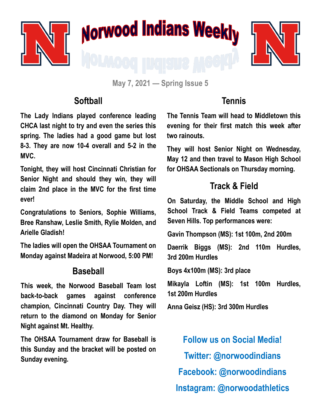

**May 7, 2021 — Spring Issue 5**

#### **Softball**

**The Lady Indians played conference leading CHCA last night to try and even the series this spring. The ladies had a good game but lost 8-3. They are now 10-4 overall and 5-2 in the MVC.**

**Tonight, they will host Cincinnati Christian for Senior Night and should they win, they will claim 2nd place in the MVC for the first time ever!**

**Congratulations to Seniors, Sophie Williams, Bree Ranshaw, Leslie Smith, Rylie Molden, and Arielle Gladish!**

**The ladies will open the OHSAA Tournament on Monday against Madeira at Norwood, 5:00 PM!**

#### **Baseball**

**This week, the Norwood Baseball Team lost back-to-back games against conference champion, Cincinnati Country Day. They will return to the diamond on Monday for Senior Night against Mt. Healthy.** 

**The OHSAA Tournament draw for Baseball is this Sunday and the bracket will be posted on Sunday evening.** 

## **Tennis**

**The Tennis Team will head to Middletown this evening for their first match this week after two rainouts.** 

**They will host Senior Night on Wednesday, May 12 and then travel to Mason High School for OHSAA Sectionals on Thursday morning.** 

## **Track & Field**

**On Saturday, the Middle School and High School Track & Field Teams competed at Seven Hills. Top performances were:**

**Gavin Thompson (MS): 1st 100m, 2nd 200m**

**Daerrik Biggs (MS): 2nd 110m Hurdles, 3rd 200m Hurdles**

**Boys 4x100m (MS): 3rd place**

**Mikayla Loftin (MS): 1st 100m Hurdles, 1st 200m Hurdles**

**Anna Geisz (HS): 3rd 300m Hurdles**

**Follow us on Social Media! Twitter: @norwoodindians Facebook: @norwoodindians Instagram: @norwoodathletics**